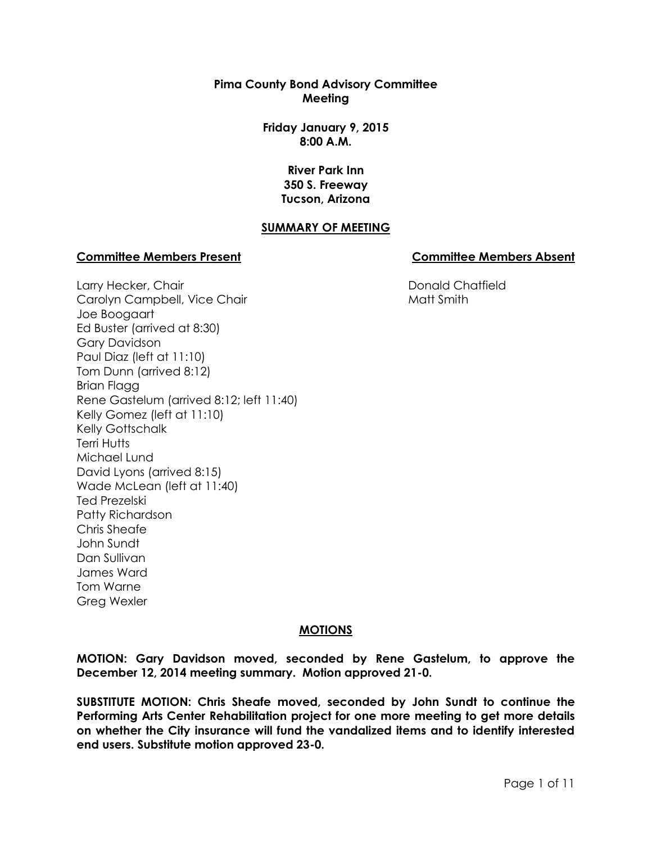**Pima County Bond Advisory Committee Meeting**

> **Friday January 9, 2015 8:00 A.M.**

> > **River Park Inn 350 S. Freeway Tucson, Arizona**

## **SUMMARY OF MEETING**

#### **Committee Members Present Committee Members Absent**

Donald Chatfield Matt Smith

Larry Hecker, Chair Carolyn Campbell, Vice Chair Joe Boogaart Ed Buster (arrived at 8:30) Gary Davidson Paul Diaz (left at 11:10) Tom Dunn (arrived 8:12) Brian Flagg Rene Gastelum (arrived 8:12; left 11:40) Kelly Gomez (left at 11:10) Kelly Gottschalk Terri Hutts Michael Lund David Lyons (arrived 8:15) Wade McLean (left at 11:40) Ted Prezelski Patty Richardson Chris Sheafe John Sundt Dan Sullivan James Ward Tom Warne Greg Wexler

#### **MOTIONS**

**MOTION: Gary Davidson moved, seconded by Rene Gastelum, to approve the December 12, 2014 meeting summary. Motion approved 21-0.**

**SUBSTITUTE MOTION: Chris Sheafe moved, seconded by John Sundt to continue the Performing Arts Center Rehabilitation project for one more meeting to get more details on whether the City insurance will fund the vandalized items and to identify interested end users. Substitute motion approved 23-0.**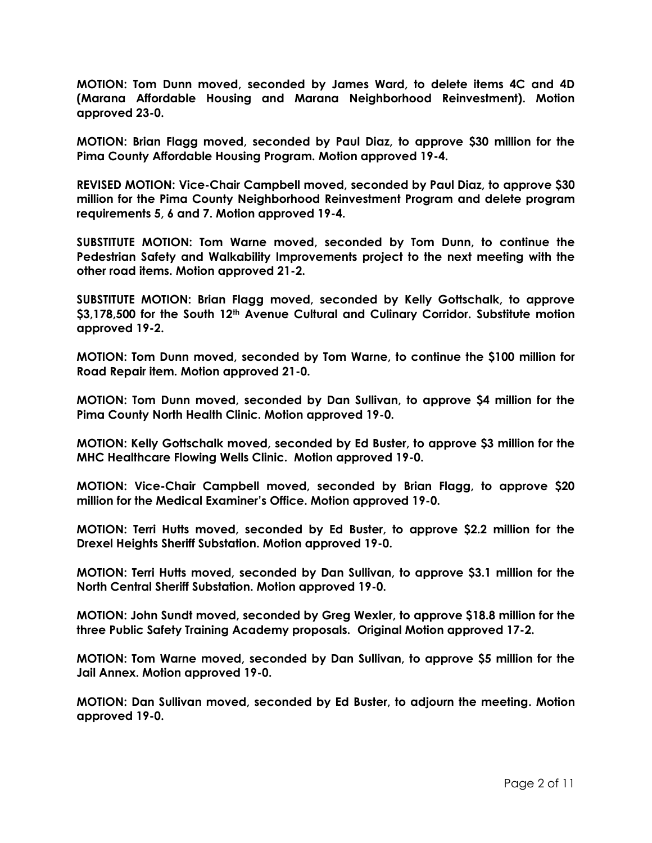**MOTION: Tom Dunn moved, seconded by James Ward, to delete items 4C and 4D (Marana Affordable Housing and Marana Neighborhood Reinvestment). Motion approved 23-0.**

**MOTION: Brian Flagg moved, seconded by Paul Diaz, to approve \$30 million for the Pima County Affordable Housing Program. Motion approved 19-4.**

**REVISED MOTION: Vice-Chair Campbell moved, seconded by Paul Diaz, to approve \$30 million for the Pima County Neighborhood Reinvestment Program and delete program requirements 5, 6 and 7. Motion approved 19-4.**

**SUBSTITUTE MOTION: Tom Warne moved, seconded by Tom Dunn, to continue the Pedestrian Safety and Walkability Improvements project to the next meeting with the other road items. Motion approved 21-2.**

**SUBSTITUTE MOTION: Brian Flagg moved, seconded by Kelly Gottschalk, to approve \$3,178,500 for the South 12th Avenue Cultural and Culinary Corridor. Substitute motion approved 19-2.** 

**MOTION: Tom Dunn moved, seconded by Tom Warne, to continue the \$100 million for Road Repair item. Motion approved 21-0.**

**MOTION: Tom Dunn moved, seconded by Dan Sullivan, to approve \$4 million for the Pima County North Health Clinic. Motion approved 19-0.** 

**MOTION: Kelly Gottschalk moved, seconded by Ed Buster, to approve \$3 million for the MHC Healthcare Flowing Wells Clinic. Motion approved 19-0.** 

**MOTION: Vice-Chair Campbell moved, seconded by Brian Flagg, to approve \$20 million for the Medical Examiner's Office. Motion approved 19-0.** 

**MOTION: Terri Hutts moved, seconded by Ed Buster, to approve \$2.2 million for the Drexel Heights Sheriff Substation. Motion approved 19-0.** 

**MOTION: Terri Hutts moved, seconded by Dan Sullivan, to approve \$3.1 million for the North Central Sheriff Substation. Motion approved 19-0.**

**MOTION: John Sundt moved, seconded by Greg Wexler, to approve \$18.8 million for the three Public Safety Training Academy proposals. Original Motion approved 17-2.**

**MOTION: Tom Warne moved, seconded by Dan Sullivan, to approve \$5 million for the Jail Annex. Motion approved 19-0.** 

**MOTION: Dan Sullivan moved, seconded by Ed Buster, to adjourn the meeting. Motion approved 19-0.**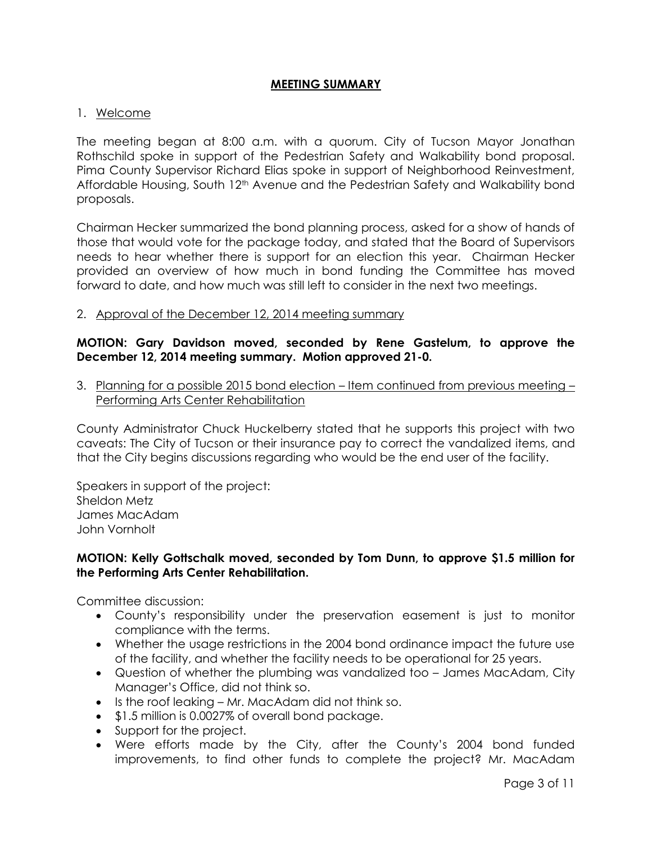## **MEETING SUMMARY**

#### 1. Welcome

The meeting began at 8:00 a.m. with a quorum. City of Tucson Mayor Jonathan Rothschild spoke in support of the Pedestrian Safety and Walkability bond proposal. Pima County Supervisor Richard Elias spoke in support of Neighborhood Reinvestment, Affordable Housing, South 12<sup>th</sup> Avenue and the Pedestrian Safety and Walkability bond proposals.

Chairman Hecker summarized the bond planning process, asked for a show of hands of those that would vote for the package today, and stated that the Board of Supervisors needs to hear whether there is support for an election this year. Chairman Hecker provided an overview of how much in bond funding the Committee has moved forward to date, and how much was still left to consider in the next two meetings.

2. Approval of the December 12, 2014 meeting summary

## **MOTION: Gary Davidson moved, seconded by Rene Gastelum, to approve the December 12, 2014 meeting summary. Motion approved 21-0.**

3. Planning for a possible 2015 bond election – Item continued from previous meeting – Performing Arts Center Rehabilitation

County Administrator Chuck Huckelberry stated that he supports this project with two caveats: The City of Tucson or their insurance pay to correct the vandalized items, and that the City begins discussions regarding who would be the end user of the facility.

Speakers in support of the project: Sheldon Metz James MacAdam John Vornholt

## **MOTION: Kelly Gottschalk moved, seconded by Tom Dunn, to approve \$1.5 million for the Performing Arts Center Rehabilitation.**

Committee discussion:

- County's responsibility under the preservation easement is just to monitor compliance with the terms.
- Whether the usage restrictions in the 2004 bond ordinance impact the future use of the facility, and whether the facility needs to be operational for 25 years.
- Question of whether the plumbing was vandalized too James MacAdam, City Manager's Office, did not think so.
- Is the roof leaking Mr. MacAdam did not think so.
- \$1.5 million is 0.0027% of overall bond package.
- Support for the project.
- Were efforts made by the City, after the County's 2004 bond funded improvements, to find other funds to complete the project? Mr. MacAdam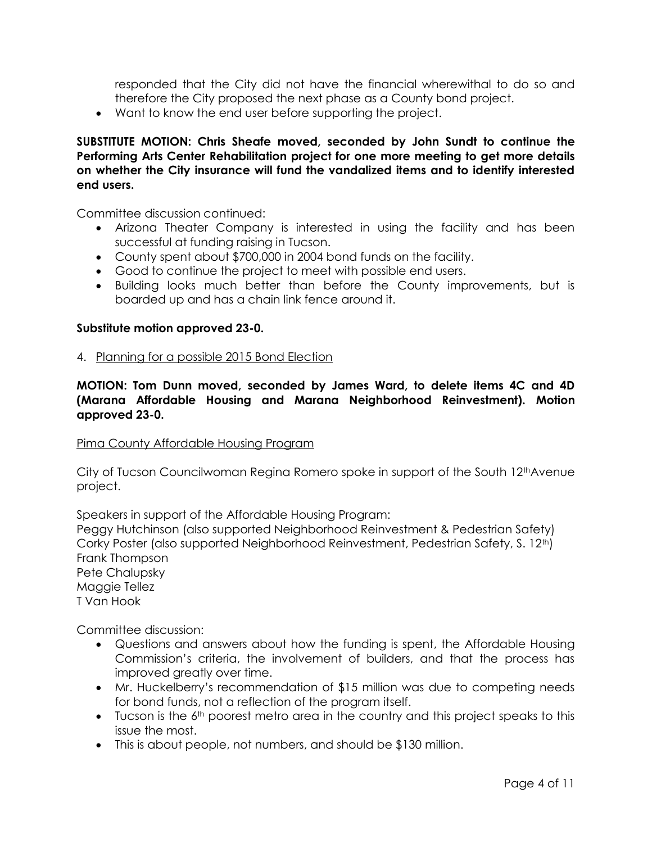responded that the City did not have the financial wherewithal to do so and therefore the City proposed the next phase as a County bond project.

Want to know the end user before supporting the project.

**SUBSTITUTE MOTION: Chris Sheafe moved, seconded by John Sundt to continue the Performing Arts Center Rehabilitation project for one more meeting to get more details on whether the City insurance will fund the vandalized items and to identify interested end users.** 

Committee discussion continued:

- Arizona Theater Company is interested in using the facility and has been successful at funding raising in Tucson.
- County spent about \$700,000 in 2004 bond funds on the facility.
- Good to continue the project to meet with possible end users.
- Building looks much better than before the County improvements, but is boarded up and has a chain link fence around it.

#### **Substitute motion approved 23-0.**

4. Planning for a possible 2015 Bond Election

**MOTION: Tom Dunn moved, seconded by James Ward, to delete items 4C and 4D (Marana Affordable Housing and Marana Neighborhood Reinvestment). Motion approved 23-0.**

#### Pima County Affordable Housing Program

City of Tucson Councilwoman Regina Romero spoke in support of the South 12<sup>th</sup>Avenue project.

Speakers in support of the Affordable Housing Program:

Peggy Hutchinson (also supported Neighborhood Reinvestment & Pedestrian Safety) Corky Poster (also supported Neighborhood Reinvestment, Pedestrian Safety, S. 12<sup>th</sup>) Frank Thompson Pete Chalupsky Maggie Tellez

T Van Hook

Committee discussion:

- Questions and answers about how the funding is spent, the Affordable Housing Commission's criteria, the involvement of builders, and that the process has improved greatly over time.
- Mr. Huckelberry's recommendation of \$15 million was due to competing needs for bond funds, not a reflection of the program itself.
- $\bullet$  Tucson is the  $6<sup>th</sup>$  poorest metro area in the country and this project speaks to this issue the most.
- This is about people, not numbers, and should be \$130 million.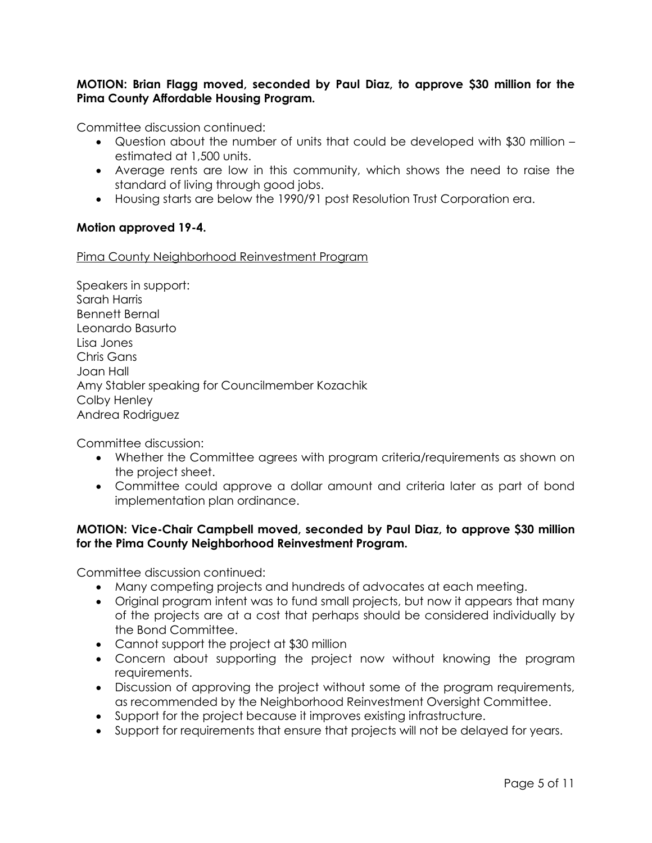# **MOTION: Brian Flagg moved, seconded by Paul Diaz, to approve \$30 million for the Pima County Affordable Housing Program.**

Committee discussion continued:

- Question about the number of units that could be developed with \$30 million estimated at 1,500 units.
- Average rents are low in this community, which shows the need to raise the standard of living through good jobs.
- Housing starts are below the 1990/91 post Resolution Trust Corporation era.

## **Motion approved 19-4.**

Pima County Neighborhood Reinvestment Program

Speakers in support: Sarah Harris Bennett Bernal Leonardo Basurto Lisa Jones Chris Gans Joan Hall Amy Stabler speaking for Councilmember Kozachik Colby Henley Andrea Rodriguez

Committee discussion:

- Whether the Committee agrees with program criteria/requirements as shown on the project sheet.
- Committee could approve a dollar amount and criteria later as part of bond implementation plan ordinance.

## **MOTION: Vice-Chair Campbell moved, seconded by Paul Diaz, to approve \$30 million for the Pima County Neighborhood Reinvestment Program.**

Committee discussion continued:

- Many competing projects and hundreds of advocates at each meeting.
- Original program intent was to fund small projects, but now it appears that many of the projects are at a cost that perhaps should be considered individually by the Bond Committee.
- Cannot support the project at \$30 million
- Concern about supporting the project now without knowing the program requirements.
- Discussion of approving the project without some of the program requirements, as recommended by the Neighborhood Reinvestment Oversight Committee.
- Support for the project because it improves existing infrastructure.
- Support for requirements that ensure that projects will not be delayed for years.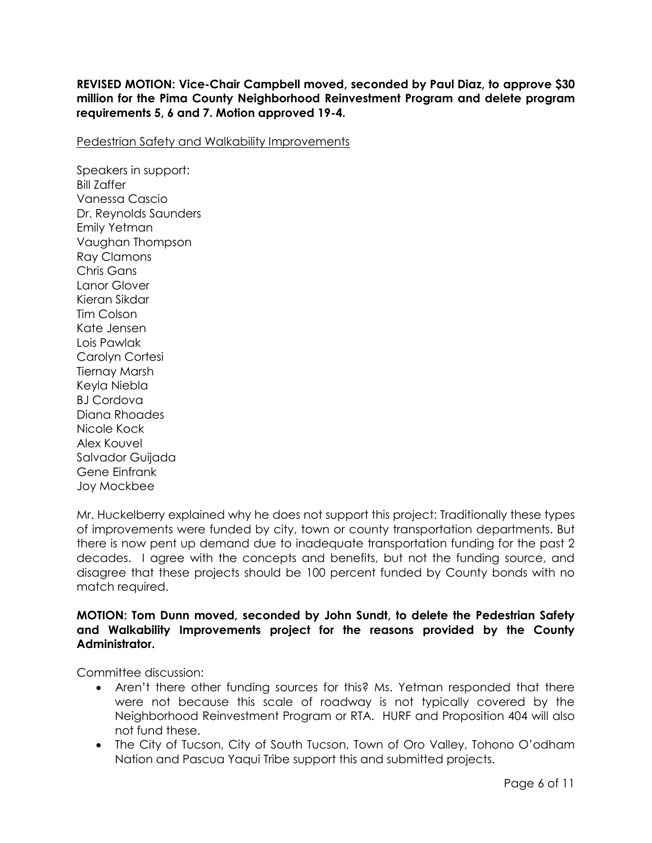**REVISED MOTION: Vice-Chair Campbell moved, seconded by Paul Diaz, to approve \$30 million for the Pima County Neighborhood Reinvestment Program and delete program requirements 5, 6 and 7. Motion approved 19-4.**

Pedestrian Safety and Walkability Improvements

Speakers in support: Bill Zaffer Vanessa Cascio Dr. Reynolds Saunders Emily Yetman Vaughan Thompson Ray Clamons Chris Gans Lanor Glover Kieran Sikdar Tim Colson Kate Jensen Lois Pawlak Carolyn Cortesi Tiernay Marsh Keyla Niebla BJ Cordova Diana Rhoades Nicole Kock Alex Kouvel Salvador Guijada Gene Einfrank Joy Mockbee

Mr. Huckelberry explained why he does not support this project: Traditionally these types of improvements were funded by city, town or county transportation departments. But there is now pent up demand due to inadequate transportation funding for the past 2 decades. I agree with the concepts and benefits, but not the funding source, and disagree that these projects should be 100 percent funded by County bonds with no match required.

## **MOTION: Tom Dunn moved, seconded by John Sundt, to delete the Pedestrian Safety and Walkability Improvements project for the reasons provided by the County Administrator.**

Committee discussion:

- Aren't there other funding sources for this? Ms. Yetman responded that there were not because this scale of roadway is not typically covered by the Neighborhood Reinvestment Program or RTA. HURF and Proposition 404 will also not fund these.
- The City of Tucson, City of South Tucson, Town of Oro Valley, Tohono O'odham Nation and Pascua Yaqui Tribe support this and submitted projects.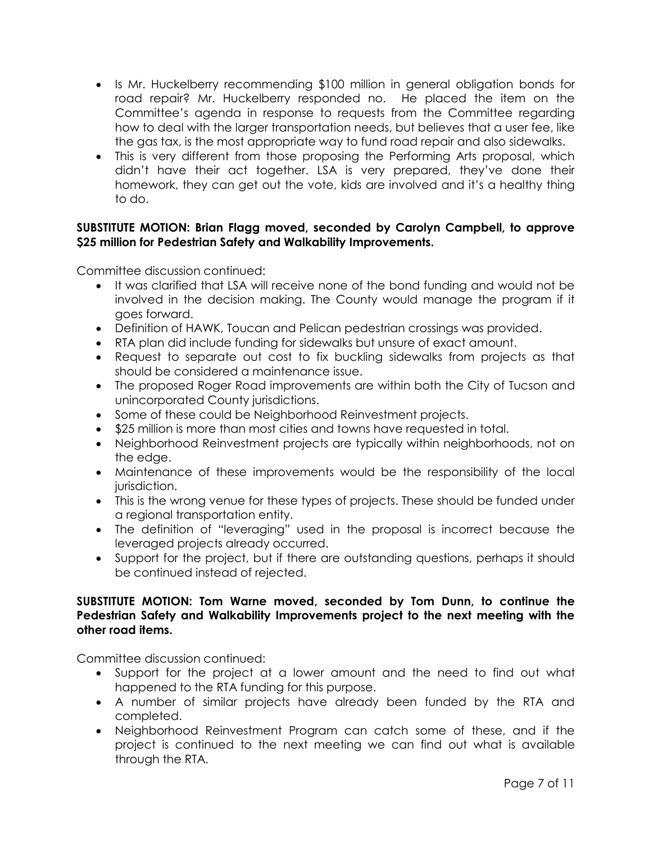- Is Mr. Huckelberry recommending \$100 million in general obligation bonds for road repair? Mr. Huckelberry responded no. He placed the item on the Committee's agenda in response to requests from the Committee regarding how to deal with the larger transportation needs, but believes that a user fee, like the gas tax, is the most appropriate way to fund road repair and also sidewalks.
- This is very different from those proposing the Performing Arts proposal, which didn't have their act together. LSA is very prepared, they've done their homework, they can get out the vote, kids are involved and it's a healthy thing to do.

## **SUBSTITUTE MOTION: Brian Flagg moved, seconded by Carolyn Campbell, to approve \$25 million for Pedestrian Safety and Walkability Improvements.**

Committee discussion continued:

- It was clarified that LSA will receive none of the bond funding and would not be involved in the decision making. The County would manage the program if it goes forward.
- Definition of HAWK, Toucan and Pelican pedestrian crossings was provided.
- RTA plan did include funding for sidewalks but unsure of exact amount.
- Request to separate out cost to fix buckling sidewalks from projects as that should be considered a maintenance issue.
- The proposed Roger Road improvements are within both the City of Tucson and unincorporated County jurisdictions.
- Some of these could be Neighborhood Reinvestment projects.
- \$25 million is more than most cities and towns have requested in total.
- Neighborhood Reinvestment projects are typically within neighborhoods, not on the edge.
- Maintenance of these improvements would be the responsibility of the local jurisdiction.
- This is the wrong venue for these types of projects. These should be funded under a regional transportation entity.
- The definition of "leveraging" used in the proposal is incorrect because the leveraged projects already occurred.
- Support for the project, but if there are outstanding questions, perhaps it should be continued instead of rejected.

# **SUBSTITUTE MOTION: Tom Warne moved, seconded by Tom Dunn, to continue the Pedestrian Safety and Walkability Improvements project to the next meeting with the other road items.**

Committee discussion continued:

- Support for the project at a lower amount and the need to find out what happened to the RTA funding for this purpose.
- A number of similar projects have already been funded by the RTA and completed.
- Neighborhood Reinvestment Program can catch some of these, and if the project is continued to the next meeting we can find out what is available through the RTA.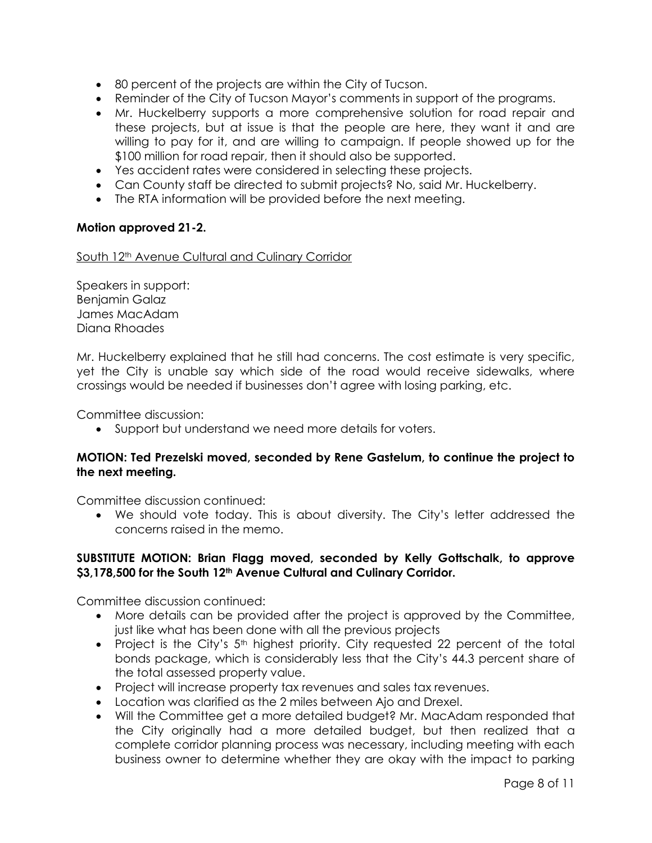- 80 percent of the projects are within the City of Tucson.
- Reminder of the City of Tucson Mayor's comments in support of the programs.
- Mr. Huckelberry supports a more comprehensive solution for road repair and these projects, but at issue is that the people are here, they want it and are willing to pay for it, and are willing to campaign. If people showed up for the \$100 million for road repair, then it should also be supported.
- Yes accident rates were considered in selecting these projects.
- Can County staff be directed to submit projects? No, said Mr. Huckelberry.
- The RTA information will be provided before the next meeting.

## **Motion approved 21-2.**

South 12<sup>th</sup> Avenue Cultural and Culinary Corridor

Speakers in support: Benjamin Galaz James MacAdam Diana Rhoades

Mr. Huckelberry explained that he still had concerns. The cost estimate is very specific, yet the City is unable say which side of the road would receive sidewalks, where crossings would be needed if businesses don't agree with losing parking, etc.

Committee discussion:

Support but understand we need more details for voters.

# **MOTION: Ted Prezelski moved, seconded by Rene Gastelum, to continue the project to the next meeting.**

Committee discussion continued:

 We should vote today. This is about diversity. The City's letter addressed the concerns raised in the memo.

## **SUBSTITUTE MOTION: Brian Flagg moved, seconded by Kelly Gottschalk, to approve \$3,178,500 for the South 12th Avenue Cultural and Culinary Corridor.**

Committee discussion continued:

- More details can be provided after the project is approved by the Committee, just like what has been done with all the previous projects
- Project is the City's  $5<sup>th</sup>$  highest priority. City requested 22 percent of the total bonds package, which is considerably less that the City's 44.3 percent share of the total assessed property value.
- Project will increase property tax revenues and sales tax revenues.
- Location was clarified as the 2 miles between Ajo and Drexel.
- Will the Committee get a more detailed budget? Mr. MacAdam responded that the City originally had a more detailed budget, but then realized that a complete corridor planning process was necessary, including meeting with each business owner to determine whether they are okay with the impact to parking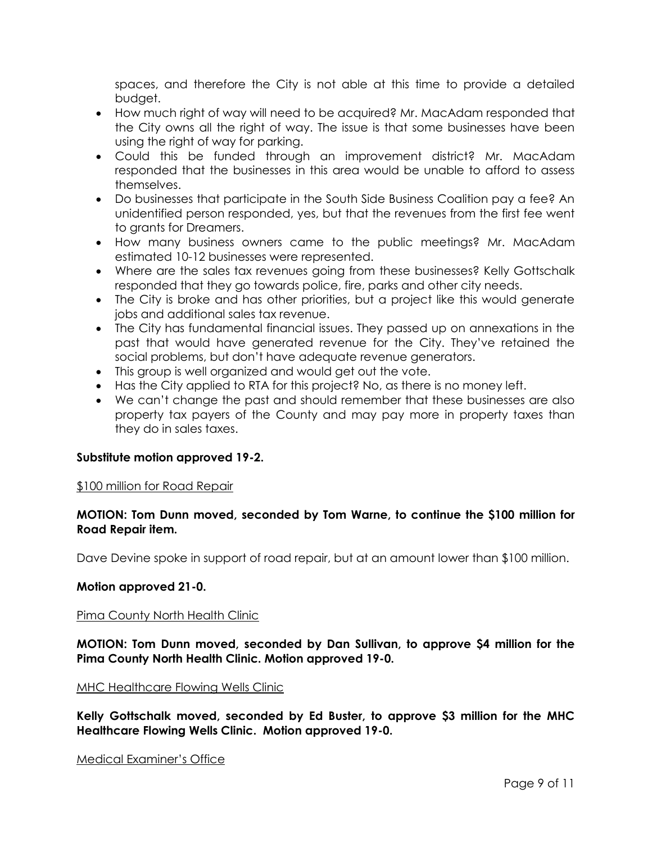spaces, and therefore the City is not able at this time to provide a detailed budget.

- How much right of way will need to be acquired? Mr. MacAdam responded that the City owns all the right of way. The issue is that some businesses have been using the right of way for parking.
- Could this be funded through an improvement district? Mr. MacAdam responded that the businesses in this area would be unable to afford to assess themselves.
- Do businesses that participate in the South Side Business Coalition pay a fee? An unidentified person responded, yes, but that the revenues from the first fee went to grants for Dreamers.
- How many business owners came to the public meetings? Mr. MacAdam estimated 10-12 businesses were represented.
- Where are the sales tax revenues going from these businesses? Kelly Gottschalk responded that they go towards police, fire, parks and other city needs.
- The City is broke and has other priorities, but a project like this would generate jobs and additional sales tax revenue.
- The City has fundamental financial issues. They passed up on annexations in the past that would have generated revenue for the City. They've retained the social problems, but don't have adequate revenue generators.
- This group is well organized and would get out the vote.
- Has the City applied to RTA for this project? No, as there is no money left.
- We can't change the past and should remember that these businesses are also property tax payers of the County and may pay more in property taxes than they do in sales taxes.

## **Substitute motion approved 19-2.**

## \$100 million for Road Repair

## **MOTION: Tom Dunn moved, seconded by Tom Warne, to continue the \$100 million for Road Repair item.**

Dave Devine spoke in support of road repair, but at an amount lower than \$100 million.

## **Motion approved 21-0.**

## Pima County North Health Clinic

# **MOTION: Tom Dunn moved, seconded by Dan Sullivan, to approve \$4 million for the Pima County North Health Clinic. Motion approved 19-0.**

#### MHC Healthcare Flowing Wells Clinic

**Kelly Gottschalk moved, seconded by Ed Buster, to approve \$3 million for the MHC Healthcare Flowing Wells Clinic. Motion approved 19-0.** 

#### Medical Examiner's Office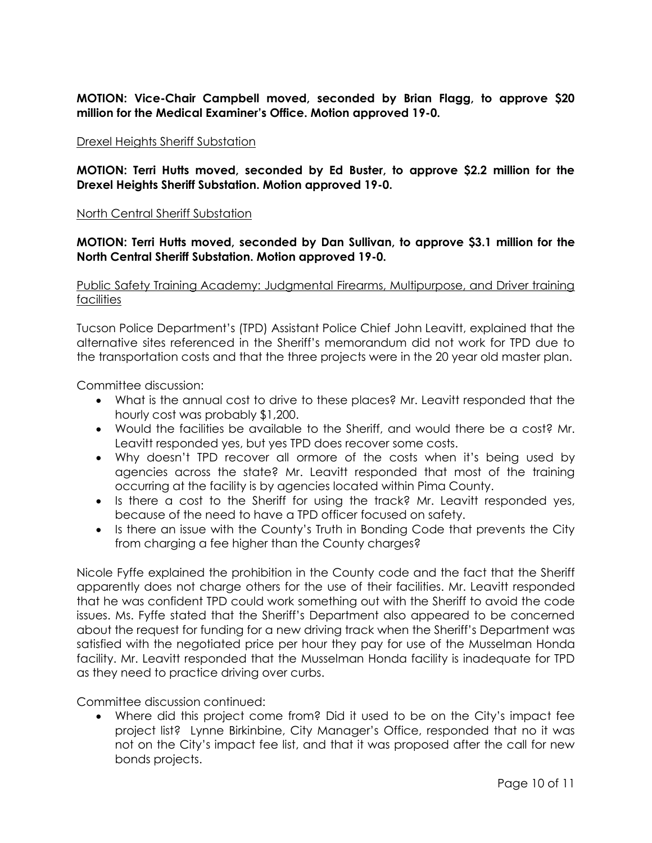**MOTION: Vice-Chair Campbell moved, seconded by Brian Flagg, to approve \$20 million for the Medical Examiner's Office. Motion approved 19-0.** 

#### Drexel Heights Sheriff Substation

**MOTION: Terri Hutts moved, seconded by Ed Buster, to approve \$2.2 million for the Drexel Heights Sheriff Substation. Motion approved 19-0.** 

#### North Central Sheriff Substation

## **MOTION: Terri Hutts moved, seconded by Dan Sullivan, to approve \$3.1 million for the North Central Sheriff Substation. Motion approved 19-0.**

Public Safety Training Academy: Judgmental Firearms, Multipurpose, and Driver training facilities

Tucson Police Department's (TPD) Assistant Police Chief John Leavitt, explained that the alternative sites referenced in the Sheriff's memorandum did not work for TPD due to the transportation costs and that the three projects were in the 20 year old master plan.

Committee discussion:

- What is the annual cost to drive to these places? Mr. Leavitt responded that the hourly cost was probably \$1,200.
- Would the facilities be available to the Sheriff, and would there be a cost? Mr. Leavitt responded yes, but yes TPD does recover some costs.
- Why doesn't TPD recover all ormore of the costs when it's being used by agencies across the state? Mr. Leavitt responded that most of the training occurring at the facility is by agencies located within Pima County.
- Is there a cost to the Sheriff for using the track? Mr. Leavitt responded yes, because of the need to have a TPD officer focused on safety.
- Is there an issue with the County's Truth in Bonding Code that prevents the City from charging a fee higher than the County charges?

Nicole Fyffe explained the prohibition in the County code and the fact that the Sheriff apparently does not charge others for the use of their facilities. Mr. Leavitt responded that he was confident TPD could work something out with the Sheriff to avoid the code issues. Ms. Fyffe stated that the Sheriff's Department also appeared to be concerned about the request for funding for a new driving track when the Sheriff's Department was satisfied with the negotiated price per hour they pay for use of the Musselman Honda facility. Mr. Leavitt responded that the Musselman Honda facility is inadequate for TPD as they need to practice driving over curbs.

Committee discussion continued:

 Where did this project come from? Did it used to be on the City's impact fee project list? Lynne Birkinbine, City Manager's Office, responded that no it was not on the City's impact fee list, and that it was proposed after the call for new bonds projects.